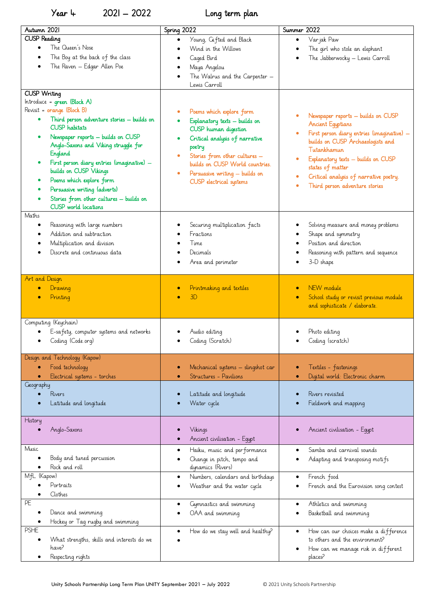Year 4 2021 – 2022 Long term plan

| Autumn 2021                                | Spring 2022                                     | Summer 2022                                          |
|--------------------------------------------|-------------------------------------------------|------------------------------------------------------|
| <b>CUSP Reading</b>                        | Young, Cifted and Black                         | Varjak Paw<br>$\bullet$                              |
| The Queen's Nose<br>$\bullet$              | Wind in the Willows                             | The girl who stole an elephant                       |
| The Boy at the back of the class           | Caged Bird                                      | The Jabberwocky - Lewis Carroll<br>$\bullet$         |
| The Raven - Edgar Allen Poe                | Maya Angelou                                    |                                                      |
|                                            | The Walrus and the Carpenter -                  |                                                      |
|                                            | Lewis Carroll                                   |                                                      |
| <b>CUSP Writing</b>                        |                                                 |                                                      |
| Introduce = green (Block A)                |                                                 |                                                      |
| Revisit = orange (Block B)                 | Poems which explore form                        |                                                      |
| Third person adventure stories - builds on | Explanatory texts - builds on                   | Newspaper reports - builds on CUSP                   |
| <b>CUSP</b> habitats                       | CUSP human digestion                            | <b>Ancient Equptians</b>                             |
| Newspaper reports - builds on CUSP         | Critical analysis of narrative                  | First person diary entries (imaginative) -<br>ŏ      |
| Anglo-Saxons and Viking struggle for       | poetry                                          | builds on CUSP Archaeologists and                    |
| England                                    | Stories from other cultures -<br>$\bullet$      | Tutankhamun                                          |
| First person diary entries (imaginative) - | builds on CUSP World countries.                 | Explanatory texts - builds on CUSP<br>٠              |
| builds on CUSP Vikings                     | Persuasive writing - builds on                  | states of matter                                     |
| Poems which explore form                   | CUSP electrical systems                         | Critical analysis of narrative poetry.               |
| Persuasive writing (adverts)               |                                                 | Third person adventure stories                       |
| Stories from other cultures - builds on    |                                                 |                                                      |
| CUSP world locations                       |                                                 |                                                      |
| Maths                                      |                                                 |                                                      |
| Reasoning with large numbers               | Securing multiplication facts                   | Solving measure and money problems                   |
| Addition and subtraction                   | Fractions                                       | Shape and symmetry                                   |
| Multiplication and division                | Time                                            | Position and direction                               |
| Discrete and continuous data               | Decimals                                        | Reasoning with pattern and sequence                  |
|                                            | Area and perimeter                              | 3-D shape                                            |
|                                            |                                                 |                                                      |
| Art and Design                             |                                                 |                                                      |
| Drawing                                    | Printmaking and textiles                        | NEW module<br>$\bullet$                              |
| Printing                                   | 3D                                              | School study or revisit previous module<br>$\bullet$ |
|                                            |                                                 | and sophisticate / elaborate.                        |
| Computing (Keychain)                       |                                                 |                                                      |
| E-safety, computer systems and networks    | Audio editing                                   | Photo editing                                        |
| Coding (Code.org)                          | Coding (Scratch)                                | Coding (scratch)                                     |
|                                            |                                                 |                                                      |
| Design and Technology (Kapow)              |                                                 |                                                      |
| Food technology                            | Mechanical systems - slingshot car              | Textiles - fastenings                                |
| Electrical systems - torches               | Structures - Pavilions                          | Digital world: Electronic charm                      |
| Geography                                  |                                                 |                                                      |
| Rivers                                     | Latitude and longitude                          | Rivers revisited                                     |
| Latitude and longitude                     | Water cycle                                     | Fieldwork and mapping                                |
| History                                    |                                                 |                                                      |
| Anglo-Saxons                               | Vikings                                         | Ancient civilisation - Equpt                         |
|                                            | Ancient civilisation - Equpt                    |                                                      |
| Music                                      |                                                 | Samba and carnival sounds                            |
|                                            | Haiku, music and performance                    | $\bullet$                                            |
| Body and tuned percussion<br>Rock and roll | Change in pitch, tempo and<br>dynamics (Rivers) | Adapting and transposing motifs                      |
| MfL (Kapow)                                |                                                 |                                                      |
| Portraits                                  | Numbers, calendars and birthdays                | French food<br>$\bullet$                             |
| Clothes                                    | Weather and the water cycle                     | French and the Eurovision song contest               |
| PE                                         | Gymnastics and swimming                         | Athletics and swimming                               |
| Dance and swimming                         | OAA and swimming                                | Basketball and swimming                              |
| Hockey or Tag rugby and swimming           |                                                 |                                                      |
| <b>PSHE</b>                                | How do we stay well and healthy?                | How can our choices make a difference<br>$\bullet$   |
| What strengths, skills and interests do we |                                                 | to others and the environment?                       |
| have?                                      |                                                 | How can we manage risk in different                  |
| Respecting rights                          |                                                 | places?                                              |